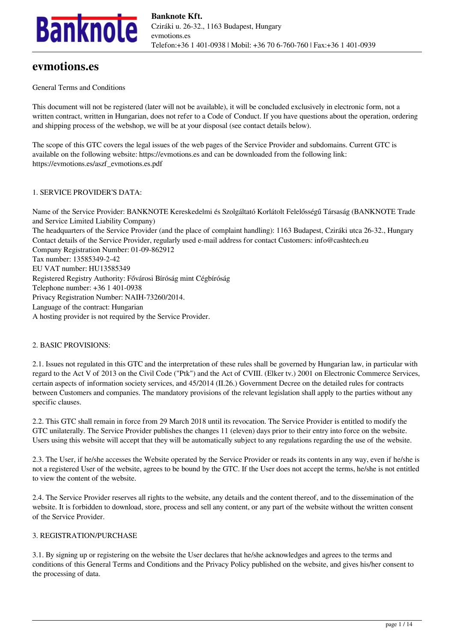

# **evmotions.es**

General Terms and Conditions

This document will not be registered (later will not be available), it will be concluded exclusively in electronic form, not a written contract, written in Hungarian, does not refer to a Code of Conduct. If you have questions about the operation, ordering and shipping process of the webshop, we will be at your disposal (see contact details below).

The scope of this GTC covers the legal issues of the web pages of the Service Provider and subdomains. Current GTC is available on the following website: https://evmotions.es and can be downloaded from the following link: https://evmotions.es/aszf\_evmotions.es.pdf

### 1. SERVICE PROVIDER'S DATA:

Name of the Service Provider: BANKNOTE Kereskedelmi és Szolgáltató Korlátolt Felelősségű Társaság (BANKNOTE Trade and Service Limited Liability Company) The headquarters of the Service Provider (and the place of complaint handling): 1163 Budapest, Cziráki utca 26-32., Hungary Contact details of the Service Provider, regularly used e-mail address for contact Customers: info@cashtech.eu Company Registration Number: 01-09-862912 Tax number: 13585349-2-42 EU VAT number: HU13585349 Registered Registry Authority: Fővárosi Bíróság mint Cégbíróság Telephone number: +36 1 401-0938 Privacy Registration Number: NAIH-73260/2014. Language of the contract: Hungarian A hosting provider is not required by the Service Provider.

# 2. BASIC PROVISIONS:

2.1. Issues not regulated in this GTC and the interpretation of these rules shall be governed by Hungarian law, in particular with regard to the Act V of 2013 on the Civil Code ("Ptk") and the Act of CVIII. (Elker tv.) 2001 on Electronic Commerce Services, certain aspects of information society services, and 45/2014 (II.26.) Government Decree on the detailed rules for contracts between Customers and companies. The mandatory provisions of the relevant legislation shall apply to the parties without any specific clauses.

2.2. This GTC shall remain in force from 29 March 2018 until its revocation. The Service Provider is entitled to modify the GTC unilaterally. The Service Provider publishes the changes 11 (eleven) days prior to their entry into force on the website. Users using this website will accept that they will be automatically subject to any regulations regarding the use of the website.

2.3. The User, if he/she accesses the Website operated by the Service Provider or reads its contents in any way, even if he/she is not a registered User of the website, agrees to be bound by the GTC. If the User does not accept the terms, he/she is not entitled to view the content of the website.

2.4. The Service Provider reserves all rights to the website, any details and the content thereof, and to the dissemination of the website. It is forbidden to download, store, process and sell any content, or any part of the website without the written consent of the Service Provider.

### 3. REGISTRATION/PURCHASE

3.1. By signing up or registering on the website the User declares that he/she acknowledges and agrees to the terms and conditions of this General Terms and Conditions and the Privacy Policy published on the website, and gives his/her consent to the processing of data.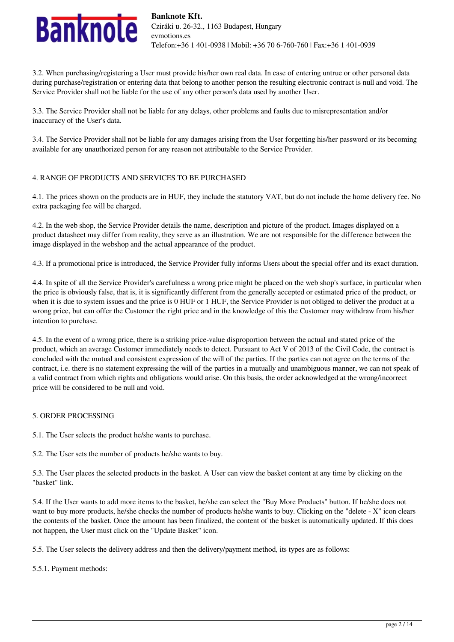

3.2. When purchasing/registering a User must provide his/her own real data. In case of entering untrue or other personal data during purchase/registration or entering data that belong to another person the resulting electronic contract is null and void. The Service Provider shall not be liable for the use of any other person's data used by another User.

3.3. The Service Provider shall not be liable for any delays, other problems and faults due to misrepresentation and/or inaccuracy of the User's data.

3.4. The Service Provider shall not be liable for any damages arising from the User forgetting his/her password or its becoming available for any unauthorized person for any reason not attributable to the Service Provider.

### 4. RANGE OF PRODUCTS AND SERVICES TO BE PURCHASED

4.1. The prices shown on the products are in HUF, they include the statutory VAT, but do not include the home delivery fee. No extra packaging fee will be charged.

4.2. In the web shop, the Service Provider details the name, description and picture of the product. Images displayed on a product datasheet may differ from reality, they serve as an illustration. We are not responsible for the difference between the image displayed in the webshop and the actual appearance of the product.

4.3. If a promotional price is introduced, the Service Provider fully informs Users about the special offer and its exact duration.

4.4. In spite of all the Service Provider's carefulness a wrong price might be placed on the web shop's surface, in particular when the price is obviously false, that is, it is significantly different from the generally accepted or estimated price of the product, or when it is due to system issues and the price is 0 HUF or 1 HUF, the Service Provider is not obliged to deliver the product at a wrong price, but can offer the Customer the right price and in the knowledge of this the Customer may withdraw from his/her intention to purchase.

4.5. In the event of a wrong price, there is a striking price-value disproportion between the actual and stated price of the product, which an average Customer immediately needs to detect. Pursuant to Act V of 2013 of the Civil Code, the contract is concluded with the mutual and consistent expression of the will of the parties. If the parties can not agree on the terms of the contract, i.e. there is no statement expressing the will of the parties in a mutually and unambiguous manner, we can not speak of a valid contract from which rights and obligations would arise. On this basis, the order acknowledged at the wrong/incorrect price will be considered to be null and void.

# 5. ORDER PROCESSING

5.1. The User selects the product he/she wants to purchase.

5.2. The User sets the number of products he/she wants to buy.

5.3. The User places the selected products in the basket. A User can view the basket content at any time by clicking on the "basket" link.

5.4. If the User wants to add more items to the basket, he/she can select the "Buy More Products" button. If he/she does not want to buy more products, he/she checks the number of products he/she wants to buy. Clicking on the "delete - X" icon clears the contents of the basket. Once the amount has been finalized, the content of the basket is automatically updated. If this does not happen, the User must click on the "Update Basket" icon.

5.5. The User selects the delivery address and then the delivery/payment method, its types are as follows:

5.5.1. Payment methods: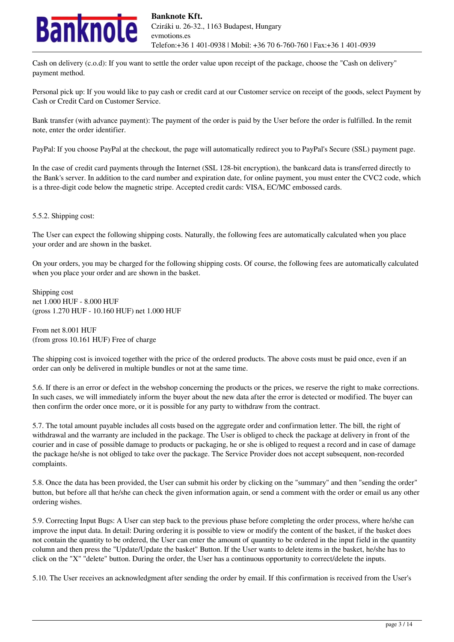

Cash on delivery (c.o.d): If you want to settle the order value upon receipt of the package, choose the "Cash on delivery" payment method.

Personal pick up: If you would like to pay cash or credit card at our Customer service on receipt of the goods, select Payment by Cash or Credit Card on Customer Service.

Bank transfer (with advance payment): The payment of the order is paid by the User before the order is fulfilled. In the remit note, enter the order identifier.

PayPal: If you choose PayPal at the checkout, the page will automatically redirect you to PayPal's Secure (SSL) payment page.

In the case of credit card payments through the Internet (SSL 128-bit encryption), the bankcard data is transferred directly to the Bank's server. In addition to the card number and expiration date, for online payment, you must enter the CVC2 code, which is a three-digit code below the magnetic stripe. Accepted credit cards: VISA, EC/MC embossed cards.

5.5.2. Shipping cost:

The User can expect the following shipping costs. Naturally, the following fees are automatically calculated when you place your order and are shown in the basket.

On your orders, you may be charged for the following shipping costs. Of course, the following fees are automatically calculated when you place your order and are shown in the basket.

Shipping cost net 1.000 HUF - 8.000 HUF (gross 1.270 HUF - 10.160 HUF) net 1.000 HUF

From net 8.001 HUF (from gross 10.161 HUF) Free of charge

The shipping cost is invoiced together with the price of the ordered products. The above costs must be paid once, even if an order can only be delivered in multiple bundles or not at the same time.

5.6. If there is an error or defect in the webshop concerning the products or the prices, we reserve the right to make corrections. In such cases, we will immediately inform the buyer about the new data after the error is detected or modified. The buyer can then confirm the order once more, or it is possible for any party to withdraw from the contract.

5.7. The total amount payable includes all costs based on the aggregate order and confirmation letter. The bill, the right of withdrawal and the warranty are included in the package. The User is obliged to check the package at delivery in front of the courier and in case of possible damage to products or packaging, he or she is obliged to request a record and in case of damage the package he/she is not obliged to take over the package. The Service Provider does not accept subsequent, non-recorded complaints.

5.8. Once the data has been provided, the User can submit his order by clicking on the "summary" and then "sending the order" button, but before all that he/she can check the given information again, or send a comment with the order or email us any other ordering wishes.

5.9. Correcting Input Bugs: A User can step back to the previous phase before completing the order process, where he/she can improve the input data. In detail: During ordering it is possible to view or modify the content of the basket, if the basket does not contain the quantity to be ordered, the User can enter the amount of quantity to be ordered in the input field in the quantity column and then press the "Update/Update the basket" Button. If the User wants to delete items in the basket, he/she has to click on the "X" "delete" button. During the order, the User has a continuous opportunity to correct/delete the inputs.

5.10. The User receives an acknowledgment after sending the order by email. If this confirmation is received from the User's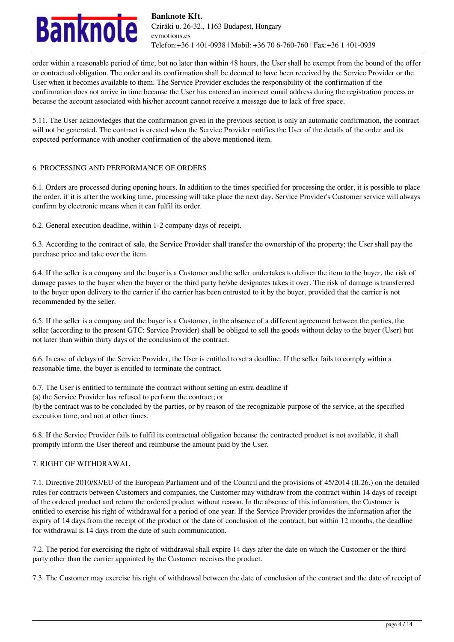

order within a reasonable period of time, but no later than within 48 hours, the User shall be exempt from the bound of the offer or contractual obligation. The order and its confirmation shall be deemed to have been received by the Service Provider or the User when it becomes available to them. The Service Provider excludes the responsibility of the confirmation if the confirmation does not arrive in time because the User has entered an incorrect email address during the registration process or because the account associated with his/her account cannot receive a message due to lack of free space.

5.11. The User acknowledges that the confirmation given in the previous section is only an automatic confirmation, the contract will not be generated. The contract is created when the Service Provider notifies the User of the details of the order and its expected performance with another confirmation of the above mentioned item.

# 6. PROCESSING AND PERFORMANCE OF ORDERS

6.1. Orders are processed during opening hours. In addition to the times specified for processing the order, it is possible to place the order, if it is after the working time, processing will take place the next day. Service Provider's Customer service will always confirm by electronic means when it can fulfil its order.

6.2. General execution deadline, within 1-2 company days of receipt.

6.3. According to the contract of sale, the Service Provider shall transfer the ownership of the property; the User shall pay the purchase price and take over the item.

6.4. If the seller is a company and the buyer is a Customer and the seller undertakes to deliver the item to the buyer, the risk of damage passes to the buyer when the buyer or the third party he/she designates takes it over. The risk of damage is transferred to the buyer upon delivery to the carrier if the carrier has been entrusted to it by the buyer, provided that the carrier is not recommended by the seller.

6.5. If the seller is a company and the buyer is a Customer, in the absence of a different agreement between the parties, the seller (according to the present GTC: Service Provider) shall be obliged to sell the goods without delay to the buyer (User) but not later than within thirty days of the conclusion of the contract.

6.6. In case of delays of the Service Provider, the User is entitled to set a deadline. If the seller fails to comply within a reasonable time, the buyer is entitled to terminate the contract.

6.7. The User is entitled to terminate the contract without setting an extra deadline if

(a) the Service Provider has refused to perform the contract; or

(b) the contract was to be concluded by the parties, or by reason of the recognizable purpose of the service, at the specified execution time, and not at other times.

6.8. If the Service Provider fails to fulfil its contractual obligation because the contracted product is not available, it shall promptly inform the User thereof and reimburse the amount paid by the User.

# 7. RIGHT OF WITHDRAWAL

7.1. Directive 2010/83/EU of the European Parliament and of the Council and the provisions of 45/2014 (II.26.) on the detailed rules for contracts between Customers and companies, the Customer may withdraw from the contract within 14 days of receipt of the ordered product and return the ordered product without reason. In the absence of this information, the Customer is entitled to exercise his right of withdrawal for a period of one year. If the Service Provider provides the information after the expiry of 14 days from the receipt of the product or the date of conclusion of the contract, but within 12 months, the deadline for withdrawal is 14 days from the date of such communication.

7.2. The period for exercising the right of withdrawal shall expire 14 days after the date on which the Customer or the third party other than the carrier appointed by the Customer receives the product.

7.3. The Customer may exercise his right of withdrawal between the date of conclusion of the contract and the date of receipt of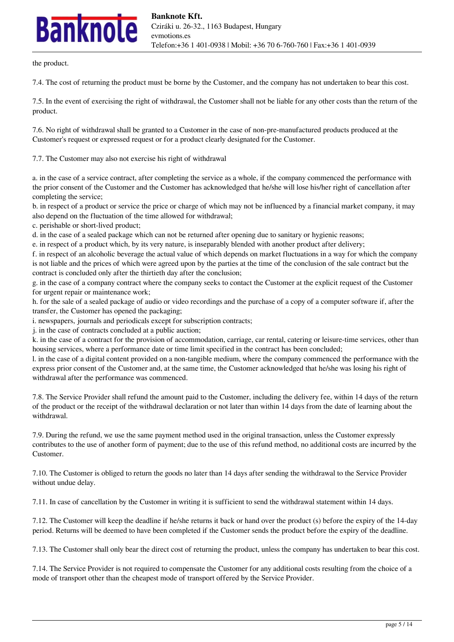# **nknole**

the product.

7.4. The cost of returning the product must be borne by the Customer, and the company has not undertaken to bear this cost.

7.5. In the event of exercising the right of withdrawal, the Customer shall not be liable for any other costs than the return of the product.

7.6. No right of withdrawal shall be granted to a Customer in the case of non-pre-manufactured products produced at the Customer's request or expressed request or for a product clearly designated for the Customer.

7.7. The Customer may also not exercise his right of withdrawal

a. in the case of a service contract, after completing the service as a whole, if the company commenced the performance with the prior consent of the Customer and the Customer has acknowledged that he/she will lose his/her right of cancellation after completing the service;

b. in respect of a product or service the price or charge of which may not be influenced by a financial market company, it may also depend on the fluctuation of the time allowed for withdrawal;

c. perishable or short-lived product;

d. in the case of a sealed package which can not be returned after opening due to sanitary or hygienic reasons;

e. in respect of a product which, by its very nature, is inseparably blended with another product after delivery;

f. in respect of an alcoholic beverage the actual value of which depends on market fluctuations in a way for which the company is not liable and the prices of which were agreed upon by the parties at the time of the conclusion of the sale contract but the contract is concluded only after the thirtieth day after the conclusion;

g. in the case of a company contract where the company seeks to contact the Customer at the explicit request of the Customer for urgent repair or maintenance work;

h. for the sale of a sealed package of audio or video recordings and the purchase of a copy of a computer software if, after the transfer, the Customer has opened the packaging;

i. newspapers, journals and periodicals except for subscription contracts;

j. in the case of contracts concluded at a public auction;

k. in the case of a contract for the provision of accommodation, carriage, car rental, catering or leisure-time services, other than housing services, where a performance date or time limit specified in the contract has been concluded;

l. in the case of a digital content provided on a non-tangible medium, where the company commenced the performance with the express prior consent of the Customer and, at the same time, the Customer acknowledged that he/she was losing his right of withdrawal after the performance was commenced.

7.8. The Service Provider shall refund the amount paid to the Customer, including the delivery fee, within 14 days of the return of the product or the receipt of the withdrawal declaration or not later than within 14 days from the date of learning about the withdrawal.

7.9. During the refund, we use the same payment method used in the original transaction, unless the Customer expressly contributes to the use of another form of payment; due to the use of this refund method, no additional costs are incurred by the Customer.

7.10. The Customer is obliged to return the goods no later than 14 days after sending the withdrawal to the Service Provider without undue delay.

7.11. In case of cancellation by the Customer in writing it is sufficient to send the withdrawal statement within 14 days.

7.12. The Customer will keep the deadline if he/she returns it back or hand over the product (s) before the expiry of the 14-day period. Returns will be deemed to have been completed if the Customer sends the product before the expiry of the deadline.

7.13. The Customer shall only bear the direct cost of returning the product, unless the company has undertaken to bear this cost.

7.14. The Service Provider is not required to compensate the Customer for any additional costs resulting from the choice of a mode of transport other than the cheapest mode of transport offered by the Service Provider.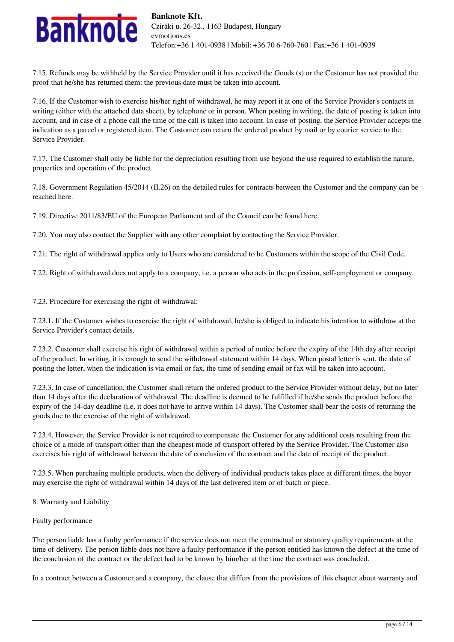

7.15. Refunds may be withheld by the Service Provider until it has received the Goods (s) or the Customer has not provided the proof that he/she has returned them: the previous date must be taken into account.

7.16. If the Customer wish to exercise his/her right of withdrawal, he may report it at one of the Service Provider's contacts in writing (either with the attached data sheet), by telephone or in person. When posting in writing, the date of posting is taken into account, and in case of a phone call the time of the call is taken into account. In case of posting, the Service Provider accepts the indication as a parcel or registered item. The Customer can return the ordered product by mail or by courier service to the Service Provider.

7.17. The Customer shall only be liable for the depreciation resulting from use beyond the use required to establish the nature, properties and operation of the product.

7.18. Government Regulation 45/2014 (II.26) on the detailed rules for contracts between the Customer and the company can be reached here.

7.19. Directive 2011/83/EU of the European Parliament and of the Council can be found here.

7.20. You may also contact the Supplier with any other complaint by contacting the Service Provider.

7.21. The right of withdrawal applies only to Users who are considered to be Customers within the scope of the Civil Code.

7.22. Right of withdrawal does not apply to a company, i.e. a person who acts in the profession, self-employment or company.

7.23. Procedure for exercising the right of withdrawal:

7.23.1. If the Customer wishes to exercise the right of withdrawal, he/she is obliged to indicate his intention to withdraw at the Service Provider's contact details.

7.23.2. Customer shall exercise his right of withdrawal within a period of notice before the expiry of the 14th day after receipt of the product. In writing, it is enough to send the withdrawal statement within 14 days. When postal letter is sent, the date of posting the letter, when the indication is via email or fax, the time of sending email or fax will be taken into account.

7.23.3. In case of cancellation, the Customer shall return the ordered product to the Service Provider without delay, but no later than 14 days after the declaration of withdrawal. The deadline is deemed to be fulfilled if he/she sends the product before the expiry of the 14-day deadline (i.e. it does not have to arrive within 14 days). The Customer shall bear the costs of returning the goods due to the exercise of the right of withdrawal.

7.23.4. However, the Service Provider is not required to compensate the Customer for any additional costs resulting from the choice of a mode of transport other than the cheapest mode of transport offered by the Service Provider. The Customer also exercises his right of withdrawal between the date of conclusion of the contract and the date of receipt of the product.

7.23.5. When purchasing multiple products, when the delivery of individual products takes place at different times, the buyer may exercise the right of withdrawal within 14 days of the last delivered item or of batch or piece.

8. Warranty and Liability

### Faulty performance

The person liable has a faulty performance if the service does not meet the contractual or statutory quality requirements at the time of delivery. The person liable does not have a faulty performance if the person entitled has known the defect at the time of the conclusion of the contract or the defect had to be known by him/her at the time the contract was concluded.

In a contract between a Customer and a company, the clause that differs from the provisions of this chapter about warranty and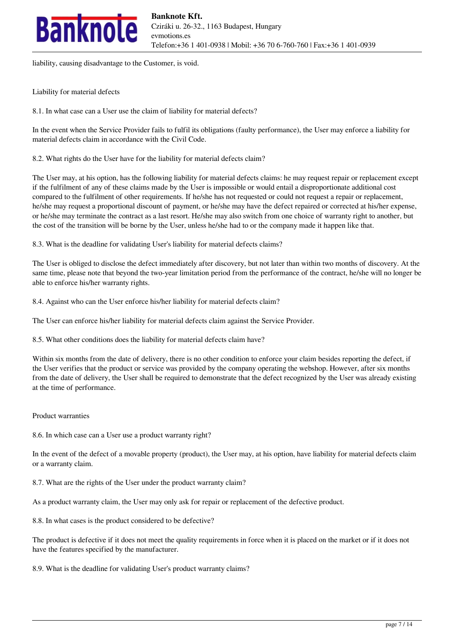

liability, causing disadvantage to the Customer, is void.

Liability for material defects

8.1. In what case can a User use the claim of liability for material defects?

In the event when the Service Provider fails to fulfil its obligations (faulty performance), the User may enforce a liability for material defects claim in accordance with the Civil Code.

8.2. What rights do the User have for the liability for material defects claim?

The User may, at his option, has the following liability for material defects claims: he may request repair or replacement except if the fulfilment of any of these claims made by the User is impossible or would entail a disproportionate additional cost compared to the fulfilment of other requirements. If he/she has not requested or could not request a repair or replacement, he/she may request a proportional discount of payment, or he/she may have the defect repaired or corrected at his/her expense, or he/she may terminate the contract as a last resort. He/she may also switch from one choice of warranty right to another, but the cost of the transition will be borne by the User, unless he/she had to or the company made it happen like that.

8.3. What is the deadline for validating User's liability for material defects claims?

The User is obliged to disclose the defect immediately after discovery, but not later than within two months of discovery. At the same time, please note that beyond the two-year limitation period from the performance of the contract, he/she will no longer be able to enforce his/her warranty rights.

8.4. Against who can the User enforce his/her liability for material defects claim?

The User can enforce his/her liability for material defects claim against the Service Provider.

8.5. What other conditions does the liability for material defects claim have?

Within six months from the date of delivery, there is no other condition to enforce your claim besides reporting the defect, if the User verifies that the product or service was provided by the company operating the webshop. However, after six months from the date of delivery, the User shall be required to demonstrate that the defect recognized by the User was already existing at the time of performance.

### Product warranties

8.6. In which case can a User use a product warranty right?

In the event of the defect of a movable property (product), the User may, at his option, have liability for material defects claim or a warranty claim.

8.7. What are the rights of the User under the product warranty claim?

As a product warranty claim, the User may only ask for repair or replacement of the defective product.

8.8. In what cases is the product considered to be defective?

The product is defective if it does not meet the quality requirements in force when it is placed on the market or if it does not have the features specified by the manufacturer.

8.9. What is the deadline for validating User's product warranty claims?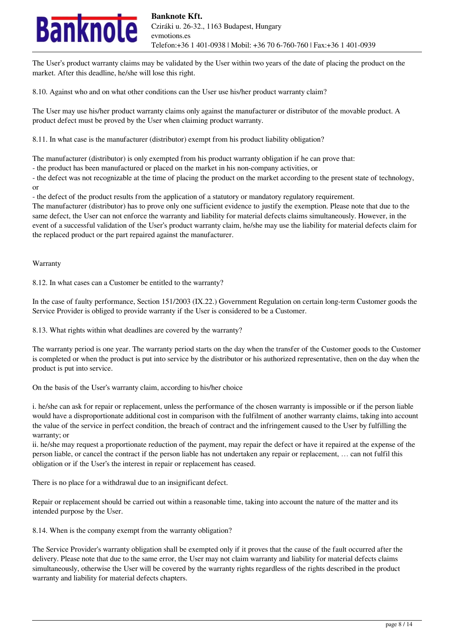

The User's product warranty claims may be validated by the User within two years of the date of placing the product on the market. After this deadline, he/she will lose this right.

8.10. Against who and on what other conditions can the User use his/her product warranty claim?

The User may use his/her product warranty claims only against the manufacturer or distributor of the movable product. A product defect must be proved by the User when claiming product warranty.

8.11. In what case is the manufacturer (distributor) exempt from his product liability obligation?

The manufacturer (distributor) is only exempted from his product warranty obligation if he can prove that:

- the product has been manufactured or placed on the market in his non-company activities, or

- the defect was not recognizable at the time of placing the product on the market according to the present state of technology, or

- the defect of the product results from the application of a statutory or mandatory regulatory requirement.

The manufacturer (distributor) has to prove only one sufficient evidence to justify the exemption. Please note that due to the same defect, the User can not enforce the warranty and liability for material defects claims simultaneously. However, in the event of a successful validation of the User's product warranty claim, he/she may use the liability for material defects claim for the replaced product or the part repaired against the manufacturer.

Warranty

8.12. In what cases can a Customer be entitled to the warranty?

In the case of faulty performance, Section 151/2003 (IX.22.) Government Regulation on certain long-term Customer goods the Service Provider is obliged to provide warranty if the User is considered to be a Customer.

8.13. What rights within what deadlines are covered by the warranty?

The warranty period is one year. The warranty period starts on the day when the transfer of the Customer goods to the Customer is completed or when the product is put into service by the distributor or his authorized representative, then on the day when the product is put into service.

On the basis of the User's warranty claim, according to his/her choice

i. he/she can ask for repair or replacement, unless the performance of the chosen warranty is impossible or if the person liable would have a disproportionate additional cost in comparison with the fulfilment of another warranty claims, taking into account the value of the service in perfect condition, the breach of contract and the infringement caused to the User by fulfilling the warranty; or

ii. he/she may request a proportionate reduction of the payment, may repair the defect or have it repaired at the expense of the person liable, or cancel the contract if the person liable has not undertaken any repair or replacement, … can not fulfil this obligation or if the User's the interest in repair or replacement has ceased.

There is no place for a withdrawal due to an insignificant defect.

Repair or replacement should be carried out within a reasonable time, taking into account the nature of the matter and its intended purpose by the User.

8.14. When is the company exempt from the warranty obligation?

The Service Provider's warranty obligation shall be exempted only if it proves that the cause of the fault occurred after the delivery. Please note that due to the same error, the User may not claim warranty and liability for material defects claims simultaneously, otherwise the User will be covered by the warranty rights regardless of the rights described in the product warranty and liability for material defects chapters.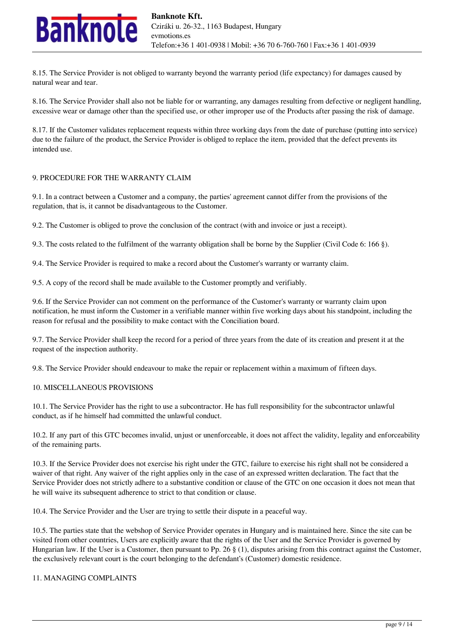

8.15. The Service Provider is not obliged to warranty beyond the warranty period (life expectancy) for damages caused by natural wear and tear.

8.16. The Service Provider shall also not be liable for or warranting, any damages resulting from defective or negligent handling, excessive wear or damage other than the specified use, or other improper use of the Products after passing the risk of damage.

8.17. If the Customer validates replacement requests within three working days from the date of purchase (putting into service) due to the failure of the product, the Service Provider is obliged to replace the item, provided that the defect prevents its intended use.

### 9. PROCEDURE FOR THE WARRANTY CLAIM

9.1. In a contract between a Customer and a company, the parties' agreement cannot differ from the provisions of the regulation, that is, it cannot be disadvantageous to the Customer.

9.2. The Customer is obliged to prove the conclusion of the contract (with and invoice or just a receipt).

9.3. The costs related to the fulfilment of the warranty obligation shall be borne by the Supplier (Civil Code 6: 166 §).

9.4. The Service Provider is required to make a record about the Customer's warranty or warranty claim.

9.5. A copy of the record shall be made available to the Customer promptly and verifiably.

9.6. If the Service Provider can not comment on the performance of the Customer's warranty or warranty claim upon notification, he must inform the Customer in a verifiable manner within five working days about his standpoint, including the reason for refusal and the possibility to make contact with the Conciliation board.

9.7. The Service Provider shall keep the record for a period of three years from the date of its creation and present it at the request of the inspection authority.

9.8. The Service Provider should endeavour to make the repair or replacement within a maximum of fifteen days.

### 10. MISCELLANEOUS PROVISIONS

10.1. The Service Provider has the right to use a subcontractor. He has full responsibility for the subcontractor unlawful conduct, as if he himself had committed the unlawful conduct.

10.2. If any part of this GTC becomes invalid, unjust or unenforceable, it does not affect the validity, legality and enforceability of the remaining parts.

10.3. If the Service Provider does not exercise his right under the GTC, failure to exercise his right shall not be considered a waiver of that right. Any waiver of the right applies only in the case of an expressed written declaration. The fact that the Service Provider does not strictly adhere to a substantive condition or clause of the GTC on one occasion it does not mean that he will waive its subsequent adherence to strict to that condition or clause.

10.4. The Service Provider and the User are trying to settle their dispute in a peaceful way.

10.5. The parties state that the webshop of Service Provider operates in Hungary and is maintained here. Since the site can be visited from other countries, Users are explicitly aware that the rights of the User and the Service Provider is governed by Hungarian law. If the User is a Customer, then pursuant to Pp. 26 § (1), disputes arising from this contract against the Customer, the exclusively relevant court is the court belonging to the defendant's (Customer) domestic residence.

### 11. MANAGING COMPLAINTS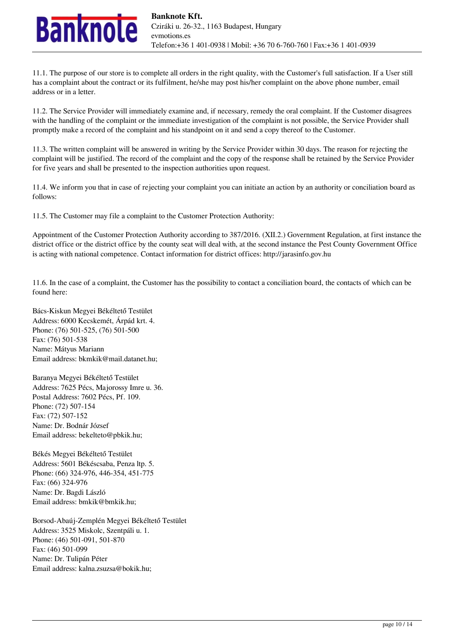

11.1. The purpose of our store is to complete all orders in the right quality, with the Customer's full satisfaction. If a User still has a complaint about the contract or its fulfilment, he/she may post his/her complaint on the above phone number, email address or in a letter.

11.2. The Service Provider will immediately examine and, if necessary, remedy the oral complaint. If the Customer disagrees with the handling of the complaint or the immediate investigation of the complaint is not possible, the Service Provider shall promptly make a record of the complaint and his standpoint on it and send a copy thereof to the Customer.

11.3. The written complaint will be answered in writing by the Service Provider within 30 days. The reason for rejecting the complaint will be justified. The record of the complaint and the copy of the response shall be retained by the Service Provider for five years and shall be presented to the inspection authorities upon request.

11.4. We inform you that in case of rejecting your complaint you can initiate an action by an authority or conciliation board as follows:

11.5. The Customer may file a complaint to the Customer Protection Authority:

Appointment of the Customer Protection Authority according to 387/2016. (XII.2.) Government Regulation, at first instance the district office or the district office by the county seat will deal with, at the second instance the Pest County Government Office is acting with national competence. Contact information for district offices: http://jarasinfo.gov.hu

11.6. In the case of a complaint, the Customer has the possibility to contact a conciliation board, the contacts of which can be found here:

Bács-Kiskun Megyei Békéltető Testület Address: 6000 Kecskemét, Árpád krt. 4. Phone: (76) 501-525, (76) 501-500 Fax: (76) 501-538 Name: Mátyus Mariann Email address: bkmkik@mail.datanet.hu;

Baranya Megyei Békéltető Testület Address: 7625 Pécs, Majorossy Imre u. 36. Postal Address: 7602 Pécs, Pf. 109. Phone: (72) 507-154 Fax: (72) 507-152 Name: Dr. Bodnár József Email address: bekelteto@pbkik.hu;

Békés Megyei Békéltető Testület Address: 5601 Békéscsaba, Penza ltp. 5. Phone: (66) 324-976, 446-354, 451-775 Fax: (66) 324-976 Name: Dr. Bagdi László Email address: bmkik@bmkik.hu;

Borsod-Abaúj-Zemplén Megyei Békéltető Testület Address: 3525 Miskolc, Szentpáli u. 1. Phone: (46) 501-091, 501-870 Fax: (46) 501-099 Name: Dr. Tulipán Péter Email address: kalna.zsuzsa@bokik.hu;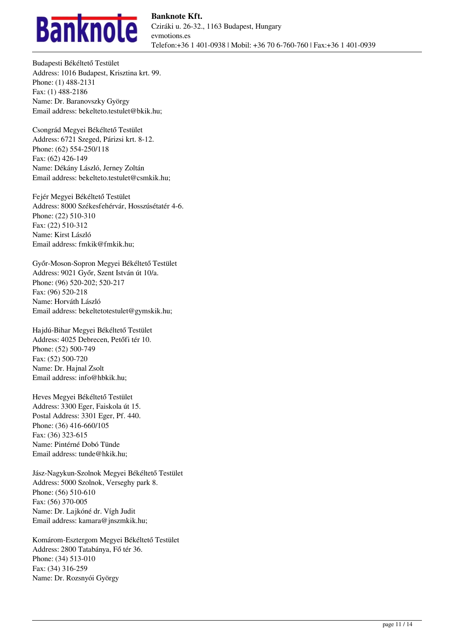

Budapesti Békéltető Testület Address: 1016 Budapest, Krisztina krt. 99. Phone: (1) 488-2131 Fax: (1) 488-2186 Name: Dr. Baranovszky György Email address: bekelteto.testulet@bkik.hu;

Csongrád Megyei Békéltető Testület Address: 6721 Szeged, Párizsi krt. 8-12. Phone: (62) 554-250/118 Fax: (62) 426-149 Name: Dékány László, Jerney Zoltán Email address: bekelteto.testulet@csmkik.hu;

Fejér Megyei Békéltető Testület Address: 8000 Székesfehérvár, Hosszúsétatér 4-6. Phone: (22) 510-310 Fax: (22) 510-312 Name: Kirst László Email address: fmkik@fmkik.hu;

Győr-Moson-Sopron Megyei Békéltető Testület Address: 9021 Győr, Szent István út 10/a. Phone: (96) 520-202; 520-217 Fax: (96) 520-218 Name: Horváth László Email address: bekeltetotestulet@gymskik.hu;

Hajdú-Bihar Megyei Békéltető Testület Address: 4025 Debrecen, Petőfi tér 10. Phone: (52) 500-749 Fax: (52) 500-720 Name: Dr. Hajnal Zsolt Email address: info@hbkik.hu;

Heves Megyei Békéltető Testület Address: 3300 Eger, Faiskola út 15. Postal Address: 3301 Eger, Pf. 440. Phone: (36) 416-660/105 Fax: (36) 323-615 Name: Pintérné Dobó Tünde Email address: tunde@hkik.hu;

Jász-Nagykun-Szolnok Megyei Békéltető Testület Address: 5000 Szolnok, Verseghy park 8. Phone: (56) 510-610 Fax: (56) 370-005 Name: Dr. Lajkóné dr. Vígh Judit Email address: kamara@jnszmkik.hu;

Komárom-Esztergom Megyei Békéltető Testület Address: 2800 Tatabánya, Fő tér 36. Phone: (34) 513-010 Fax: (34) 316-259 Name: Dr. Rozsnyói György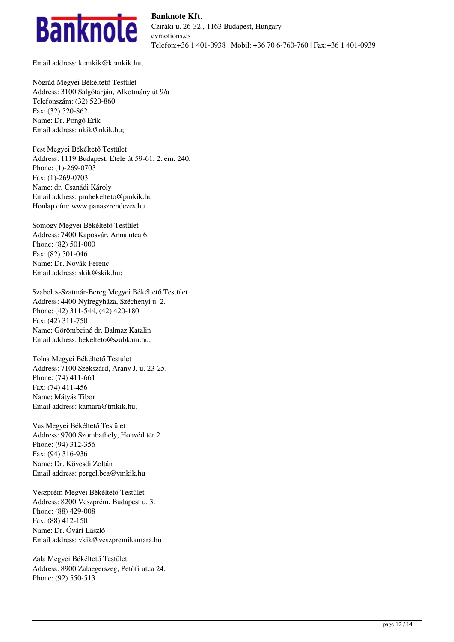

Email address: kemkik@kemkik.hu;

Nógrád Megyei Békéltető Testület Address: 3100 Salgótarján, Alkotmány út 9/a Telefonszám: (32) 520-860 Fax: (32) 520-862 Name: Dr. Pongó Erik Email address: nkik@nkik.hu;

Pest Megyei Békéltető Testület Address: 1119 Budapest, Etele út 59-61. 2. em. 240. Phone: (1)-269-0703 Fax: (1)-269-0703 Name: dr. Csanádi Károly Email address: pmbekelteto@pmkik.hu Honlap cím: www.panaszrendezes.hu

Somogy Megyei Békéltető Testület Address: 7400 Kaposvár, Anna utca 6. Phone: (82) 501-000 Fax: (82) 501-046 Name: Dr. Novák Ferenc Email address: skik@skik.hu;

Szabolcs-Szatmár-Bereg Megyei Békéltető Testület Address: 4400 Nyíregyháza, Széchenyi u. 2. Phone: (42) 311-544, (42) 420-180 Fax: (42) 311-750 Name: Görömbeiné dr. Balmaz Katalin Email address: bekelteto@szabkam.hu;

Tolna Megyei Békéltető Testület Address: 7100 Szekszárd, Arany J. u. 23-25. Phone: (74) 411-661 Fax: (74) 411-456 Name: Mátyás Tibor Email address: kamara@tmkik.hu;

Vas Megyei Békéltető Testület Address: 9700 Szombathely, Honvéd tér 2. Phone: (94) 312-356 Fax: (94) 316-936 Name: Dr. Kövesdi Zoltán Email address: pergel.bea@vmkik.hu

Veszprém Megyei Békéltető Testület Address: 8200 Veszprém, Budapest u. 3. Phone: (88) 429-008 Fax: (88) 412-150 Name: Dr. Óvári László Email address: vkik@veszpremikamara.hu

Zala Megyei Békéltető Testület Address: 8900 Zalaegerszeg, Petőfi utca 24. Phone: (92) 550-513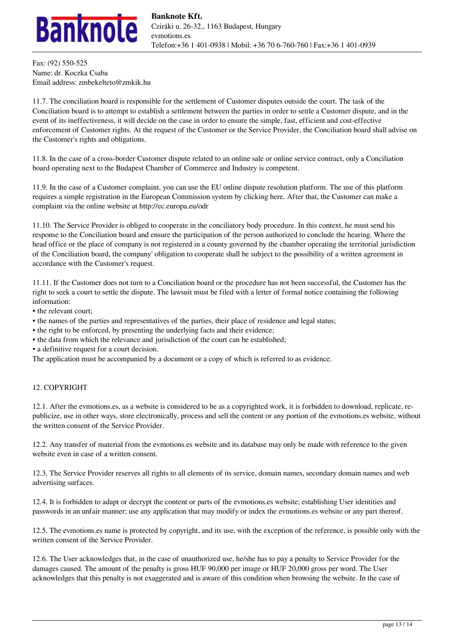

Fax: (92) 550-525 Name: dr. Koczka Csaba Email address: zmbekelteto@zmkik.hu

11.7. The conciliation board is responsible for the settlement of Customer disputes outside the court. The task of the Conciliation board is to attempt to establish a settlement between the parties in order to settle a Customer dispute, and in the event of its ineffectiveness, it will decide on the case in order to ensure the simple, fast, efficient and cost-effective enforcement of Customer rights. At the request of the Customer or the Service Provider, the Conciliation board shall advise on the Customer's rights and obligations.

11.8. In the case of a cross-border Customer dispute related to an online sale or online service contract, only a Conciliation board operating next to the Budapest Chamber of Commerce and Industry is competent.

11.9. In the case of a Customer complaint, you can use the EU online dispute resolution platform. The use of this platform requires a simple registration in the European Commission system by clicking here. After that, the Customer can make a complaint via the online website at http://ec.europa.eu/odr

11.10. The Service Provider is obliged to cooperate in the conciliatory body procedure. In this context, he must send his response to the Conciliation board and ensure the participation of the person authorized to conclude the hearing. Where the head office or the place of company is not registered in a county governed by the chamber operating the territorial jurisdiction of the Conciliation board, the company' obligation to cooperate shall be subject to the possibility of a written agreement in accordance with the Customer's request.

11.11. If the Customer does not turn to a Conciliation board or the procedure has not been successful, the Customer has the right to seek a court to settle the dispute. The lawsuit must be filed with a letter of formal notice containing the following information:

- the relevant court;
- the names of the parties and representatives of the parties, their place of residence and legal status;
- the right to be enforced, by presenting the underlying facts and their evidence;
- the data from which the relevance and jurisdiction of the court can be established;
- a definitive request for a court decision.

The application must be accompanied by a document or a copy of which is referred to as evidence.

# 12. COPYRIGHT

12.1. After the evmotions.es, as a website is considered to be as a copyrighted work, it is forbidden to download, replicate, republicize, use in other ways, store electronically, process and sell the content or any portion of the evmotions.es website, without the written consent of the Service Provider.

12.2. Any transfer of material from the evmotions.es website and its database may only be made with reference to the given website even in case of a written consent.

12.3. The Service Provider reserves all rights to all elements of its service, domain names, secondary domain names and web advertising surfaces.

12.4. It is forbidden to adapt or decrypt the content or parts of the evmotions.es website; establishing User identities and passwords in an unfair manner; use any application that may modify or index the evmotions.es website or any part thereof.

12.5. The evmotions.es name is protected by copyright, and its use, with the exception of the reference, is possible only with the written consent of the Service Provider.

12.6. The User acknowledges that, in the case of unauthorized use, he/she has to pay a penalty to Service Provider for the damages caused. The amount of the penalty is gross HUF 90,000 per image or HUF 20,000 gross per word. The User acknowledges that this penalty is not exaggerated and is aware of this condition when browsing the website. In the case of